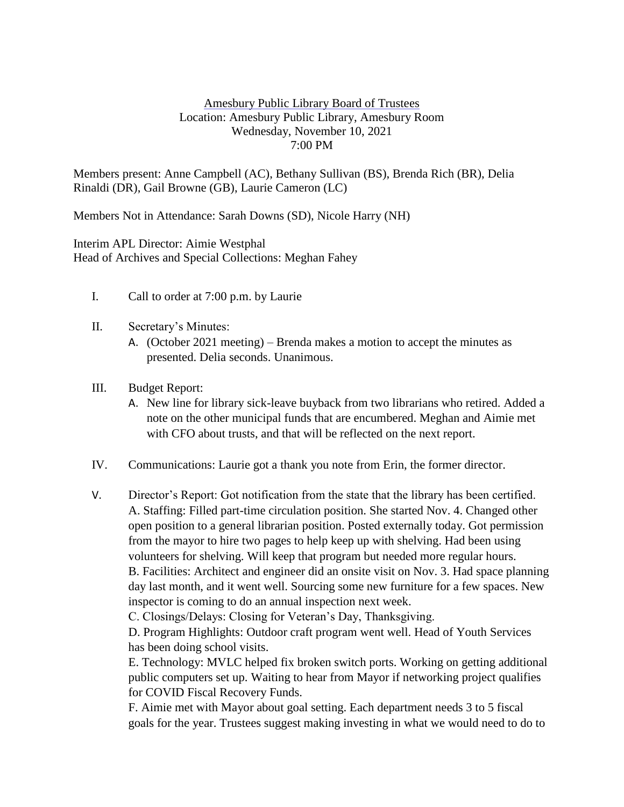## Amesbury Public Library Board of Trustees Location: Amesbury Public Library, Amesbury Room Wednesday, November 10, 2021 7:00 PM

Members present: Anne Campbell (AC), Bethany Sullivan (BS), Brenda Rich (BR), Delia Rinaldi (DR), Gail Browne (GB), Laurie Cameron (LC)

Members Not in Attendance: Sarah Downs (SD), Nicole Harry (NH)

Interim APL Director: Aimie Westphal Head of Archives and Special Collections: Meghan Fahey

- I. Call to order at 7:00 p.m. by Laurie
- II. Secretary's Minutes:
	- A. (October 2021 meeting) Brenda makes a motion to accept the minutes as presented. Delia seconds. Unanimous.
- III. Budget Report:
	- A. New line for library sick-leave buyback from two librarians who retired. Added a note on the other municipal funds that are encumbered. Meghan and Aimie met with CFO about trusts, and that will be reflected on the next report.
- IV. Communications: Laurie got a thank you note from Erin, the former director.
- V. Director's Report: Got notification from the state that the library has been certified. A. Staffing: Filled part-time circulation position. She started Nov. 4. Changed other open position to a general librarian position. Posted externally today. Got permission from the mayor to hire two pages to help keep up with shelving. Had been using volunteers for shelving. Will keep that program but needed more regular hours. B. Facilities: Architect and engineer did an onsite visit on Nov. 3. Had space planning day last month, and it went well. Sourcing some new furniture for a few spaces. New inspector is coming to do an annual inspection next week.

C. Closings/Delays: Closing for Veteran's Day, Thanksgiving.

D. Program Highlights: Outdoor craft program went well. Head of Youth Services has been doing school visits.

E. Technology: MVLC helped fix broken switch ports. Working on getting additional public computers set up. Waiting to hear from Mayor if networking project qualifies for COVID Fiscal Recovery Funds.

F. Aimie met with Mayor about goal setting. Each department needs 3 to 5 fiscal goals for the year. Trustees suggest making investing in what we would need to do to